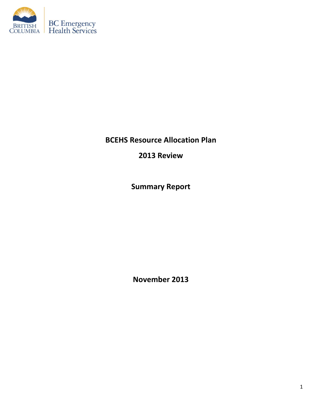

**BCEHS Resource Allocation Plan** 

**2013 Review**

**Summary Report**

**November 2013**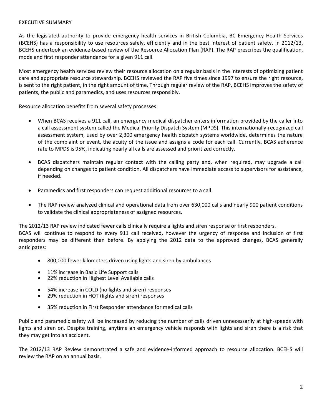## EXECUTIVE SUMMARY

As the legislated authority to provide emergency health services in British Columbia, BC Emergency Health Services (BCEHS) has a responsibility to use resources safely, efficiently and in the best interest of patient safety. In 2012/13, BCEHS undertook an evidence-based review of the Resource Allocation Plan (RAP). The RAP prescribes the qualification, mode and first responder attendance for a given 911 call.

Most emergency health services review their resource allocation on a regular basis in the interests of optimizing patient care and appropriate resource stewardship. BCEHS reviewed the RAP five times since 1997 to ensure the right resource, is sent to the right patient, in the right amount of time. Through regular review of the RAP, BCEHS improves the safety of patients, the public and paramedics, and uses resources responsibly.

Resource allocation benefits from several safety processes:

- When BCAS receives a 911 call, an emergency medical dispatcher enters information provided by the caller into a call assessment system called the Medical Priority Dispatch System (MPDS). This internationally-recognized call assessment system, used by over 2,300 emergency health dispatch systems worldwide, determines the nature of the complaint or event, the acuity of the issue and assigns a code for each call. Currently, BCAS adherence rate to MPDS is 95%, indicating nearly all calls are assessed and prioritized correctly.
- BCAS dispatchers maintain regular contact with the calling party and, when required, may upgrade a call depending on changes to patient condition. All dispatchers have immediate access to supervisors for assistance, if needed.
- Paramedics and first responders can request additional resources to a call.
- The RAP review analyzed clinical and operational data from over 630,000 calls and nearly 900 patient conditions to validate the clinical appropriateness of assigned resources.

The 2012/13 RAP review indicated fewer calls clinically require a lights and siren response or first responders. BCAS will continue to respond to every 911 call received, however the urgency of response and inclusion of first responders may be different than before. By applying the 2012 data to the approved changes, BCAS generally anticipates:

- 800,000 fewer kilometers driven using lights and siren by ambulances
- 11% increase in Basic Life Support calls
- 22% reduction in Highest Level Available calls
- 54% increase in COLD (no lights and siren) responses
- 29% reduction in HOT (lights and siren) responses
- 35% reduction in First Responder attendance for medical calls

Public and paramedic safety will be increased by reducing the number of calls driven unnecessarily at high-speeds with lights and siren on. Despite training, anytime an emergency vehicle responds with lights and siren there is a risk that they may get into an accident.

The 2012/13 RAP Review demonstrated a safe and evidence-informed approach to resource allocation. BCEHS will review the RAP on an annual basis.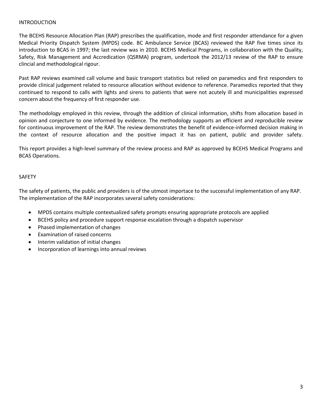## INTRODUCTION

The BCEHS Resource Allocation Plan (RAP) prescribes the qualification, mode and first responder attendance for a given Medical Priority Dispatch System (MPDS) code. BC Ambulance Service (BCAS) reviewed the RAP five times since its introduction to BCAS in 1997; the last review was in 2010. BCEHS Medical Programs, in collaboration with the Quality, Safety, Risk Management and Accredication (QSRMA) program, undertook the 2012/13 review of the RAP to ensure clincial and methodological rigour.

Past RAP reviews examined call volume and basic transport statistics but relied on paramedics and first responders to provide clinical judgement related to resource allocation without evidence to reference. Paramedics reported that they continued to respond to calls with lights and sirens to patients that were not acutely ill and municipalities expressed concern about the frequency of first responder use.

The methodology employed in this review, through the addition of clinical information, shifts from allocation based in opinion and conjecture to one informed by evidence. The methodology supports an efficient and reproducible review for continuous improvement of the RAP. The review demonstrates the benefit of evidence-informed decision making in the context of resource allocation and the positive impact it has on patient, public and provider safety.

This report provides a high-level summary of the review process and RAP as approved by BCEHS Medical Programs and BCAS Operations.

# SAFETY

The safety of patients, the public and providers is of the utmost importace to the successful implementation of any RAP. The implementation of the RAP incorporates several safety considerations:

- MPDS contains multiple contextualized safety prompts ensuring appropriate protocols are applied
- BCEHS policy and procedure support response escalation through a dispatch supervisor
- Phased implementation of changes
- Examination of raised concerns
- Interim validation of initial changes
- Incorporation of learnings into annual reviews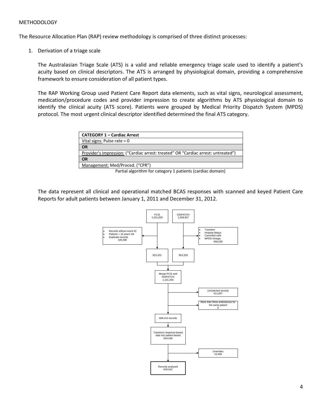## METHODOLOGY

The Resource Allocation Plan (RAP) review methodology is comprised of three distinct processes:

1. Derivation of a triage scale

The Australasian Triage Scale (ATS) is a valid and reliable emergency triage scale used to identify a patient's acuity based on clinical descriptors. The ATS is arranged by physiological domain, providing a comprehensive framework to ensure consideration of all patient types.

The RAP Working Group used Patient Care Report data elements, such as vital signs, neurological assessment, medication/procedure codes and provider impression to create algorithms by ATS physiological domain to identify the clinical acuity (ATS score). Patients were grouped by Medical Priority Dispatch System (MPDS) protocol. The most urgent clinical descriptor identified determined the final ATS category.

| <b>CATEGORY 1 - Cardiac Arrest</b>                                                |  |
|-----------------------------------------------------------------------------------|--|
| Vital signs: Pulse rate = $0$                                                     |  |
| <b>OR</b>                                                                         |  |
| Provider's impression: ("Cardiac arrest: treated" OR "Cardiac arrest: untreated") |  |
| <b>OR</b>                                                                         |  |
| Management: Med/Proced. ("CPR")                                                   |  |
|                                                                                   |  |

Partial algorithm for category 1 patients (cardiac domain)

The data represent all clinical and operational matched BCAS responses with scanned and keyed Patient Care Reports for adult patients between January 1, 2011 and December 31, 2012.

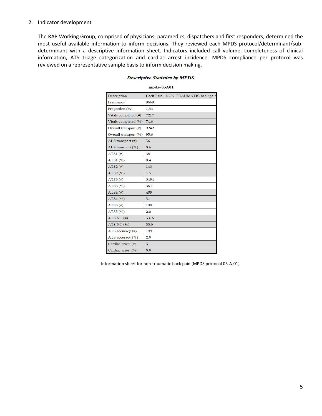### 2. Indicator development

The RAP Working Group, comprised of physicians, paramedics, dispatchers and first responders, determined the most useful available information to inform decisions. They reviewed each MPDS protocol/determinant/subdeterminant with a descriptive information sheet. Indicators included call volume, completeness of clinical information, ATS triage categorization and cardiac arrest incidence. MPDS compliance per protocol was reviewed on a representative sample basis to inform decision making.

| Description           | Back Pain - NON-TRAUMATIC back pain |  |
|-----------------------|-------------------------------------|--|
| Frequency             | 9669                                |  |
| Proportion (%)        | 1.53                                |  |
| Vitals completed (#)  | 7217                                |  |
| Vitals completed (%)  | 74.6                                |  |
| Overall transport (#) | 9242                                |  |
| Overall transport (%) | 95.6                                |  |
| ALS transport (#)     | 56                                  |  |
| ALS transport (%)     | 0.6                                 |  |
| ATS1 $($ # $)$        | 38                                  |  |
| ATS1(%)               | 0.4                                 |  |
| ATS2 $($ #)           | 143                                 |  |
| ATS2 (%)              | 1.5                                 |  |
| ATS3 $(*)$            | 3494                                |  |
| ATS3(%)               | 36.1                                |  |
| ATS4 $(\#)$           | 489                                 |  |
| ATS4(%)               | 5.1                                 |  |
| ATS5 $($ #)           | 189                                 |  |
| ATS5 $(\%)$           | 2.0                                 |  |
| ATS NC $($ #)         | 5316                                |  |
| ATS NC (%)            | 55.0                                |  |
| ATS accuracy $(\#)$   | 189                                 |  |
| ATS accuracy (%)      | 2.0                                 |  |
| Cardiac arrest (#)    | 3                                   |  |
| Cardiac arrest (%)    | 0.0                                 |  |

#### **Descriptive Statistics by MPDS**

 $mpds = 05A01$ 

Information sheet for non-traumatic back pain (MPDS protocol 05-A-01)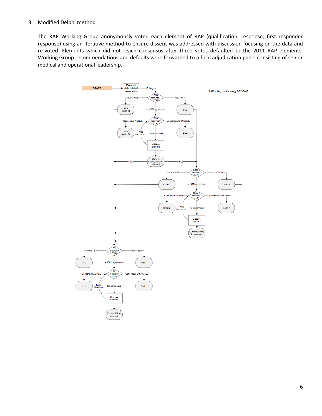### 3. Modified Delphi method

The RAP Working Group anonymously voted each element of RAP (qualification, response, first responder response) using an iterative method to ensure dissent was addressed with discussion focusing on the data and re-voted. Elements which did not reach consensus after three votes defaulted to the 2011 RAP elements. Working Group recommendations and defaults were forwarded to a final adjudication panel consisting of senior medical and operational leadership.

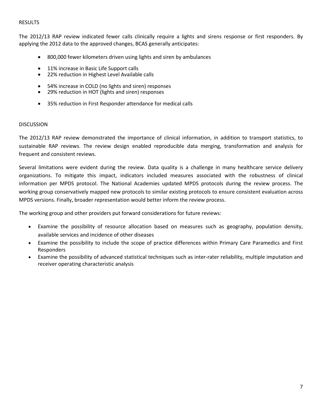# RESULTS

The 2012/13 RAP review indicated fewer calls clinically require a lights and sirens response or first responders. By applying the 2012 data to the approved changes, BCAS generally anticipates:

- 800,000 fewer kilometers driven using lights and siren by ambulances
- 11% increase in Basic Life Support calls
- 22% reduction in Highest Level Available calls
- 54% increase in COLD (no lights and siren) responses
- 29% reduction in HOT (lights and siren) responses
- 35% reduction in First Responder attendance for medical calls

# DISCUSSION

The 2012/13 RAP review demonstrated the importance of clinical information, in addition to transport statistics, to sustainable RAP reviews. The review design enabled reproducible data merging, transformation and analysis for frequent and consistent reviews.

Several limitations were evident during the review. Data quality is a challenge in many healthcare service delivery organizations. To mitigate this impact, indicators included measures associated with the robustness of clinical information per MPDS protocol. The National Academies updated MPDS protocols during the review process. The working group conservatively mapped new protocols to similar existing protocols to ensure consistent evaluation across MPDS versions. Finally, broader representation would better inform the review process.

The working group and other providers put forward considerations for future reviews:

- Examine the possibility of resource allocation based on measures such as geography, population density, available services and incidence of other diseases
- Examine the possibility to include the scope of practice differences within Primary Care Paramedics and First Responders
- Examine the possibility of advanced statistical techniques such as inter-rater reliability, multiple imputation and receiver operating characteristic analysis